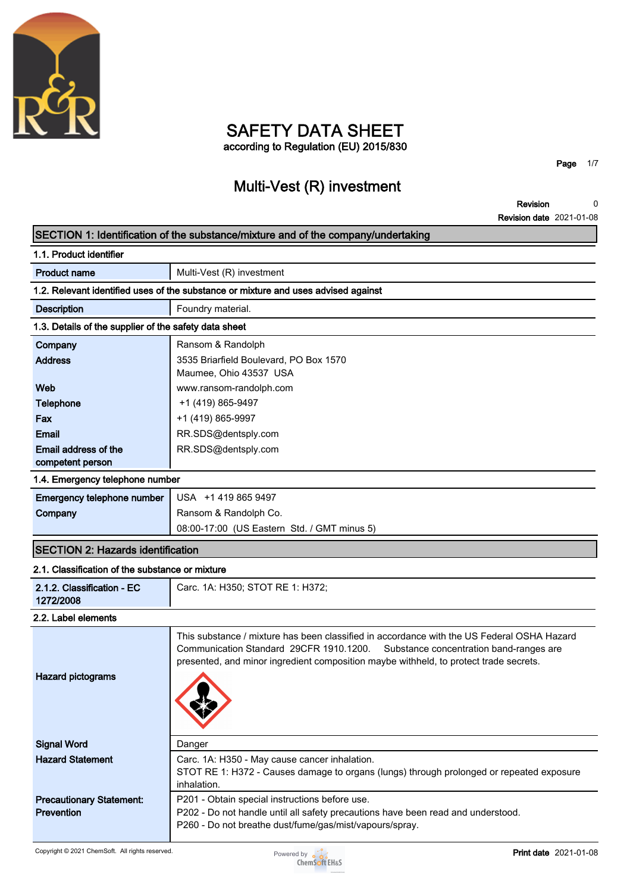

### **SAFETY DATA SHEET according to Regulation (EU) 2015/830**

**Page 1/7**

### **Multi-Vest (R) investment**

**0**

### **Revision Revision date 2021-01-08 SECTION 1: Identification of the substance/mixture and of the company/undertaking 1.1. Product identifier Product name Multi-Vest (R) investment 1.2. Relevant identified uses of the substance or mixture and uses advised against Description Foundry material. 1.3. Details of the supplier of the safety data sheet Company Ransom & Randolph Address 3535 Briarfield Boulevard, PO Box 1570 Maumee, Ohio 43537 USA Web www.ransom-randolph.com Telephone**  $+1 (419) 865-9497$ **Fax +1** (419) 865-9997 **Email RR.SDS@dentsply.com Email address of the competent person RR.SDS@dentsply.com 1.4. Emergency telephone number Emergency telephone number USA +1 419 865 9497 Company Ransom & Randolph Co. 08:00-17:00 (US Eastern Std. / GMT minus 5) SECTION 2: Hazards identification 2.1. Classification of the substance or mixture 2.1.2. Classification - EC 1272/2008 Carc. 1A: H350; STOT RE 1: H372; 2.2. Label elements**

| <b>Hazard pictograms</b>        | This substance / mixture has been classified in accordance with the US Federal OSHA Hazard<br>Communication Standard 29CFR 1910.1200. Substance concentration band-ranges are<br>presented, and minor ingredient composition maybe withheld, to protect trade secrets. |
|---------------------------------|------------------------------------------------------------------------------------------------------------------------------------------------------------------------------------------------------------------------------------------------------------------------|
| <b>Signal Word</b>              | Danger                                                                                                                                                                                                                                                                 |
| <b>Hazard Statement</b>         | Carc. 1A: H350 - May cause cancer inhalation.                                                                                                                                                                                                                          |
|                                 | STOT RE 1: H372 - Causes damage to organs (lungs) through prolonged or repeated exposure<br>inhalation.                                                                                                                                                                |
| <b>Precautionary Statement:</b> | P201 - Obtain special instructions before use.                                                                                                                                                                                                                         |
| <b>Prevention</b>               | P202 - Do not handle until all safety precautions have been read and understood.                                                                                                                                                                                       |
|                                 | P260 - Do not breathe dust/fume/gas/mist/vapours/spray.                                                                                                                                                                                                                |

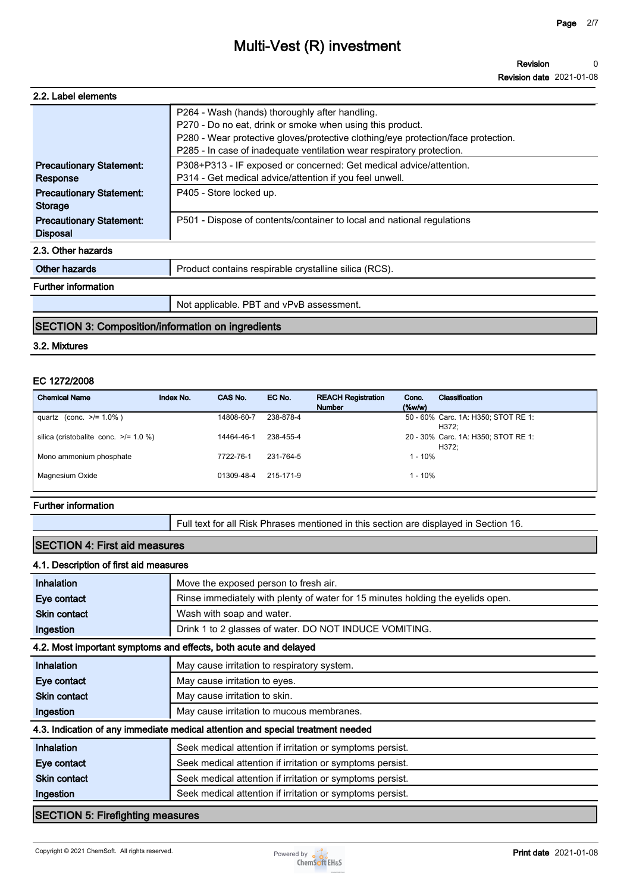| 2.2. Label elements                                |                                                                                                                                                                                                                                                                           |
|----------------------------------------------------|---------------------------------------------------------------------------------------------------------------------------------------------------------------------------------------------------------------------------------------------------------------------------|
|                                                    | P264 - Wash (hands) thoroughly after handling.<br>P270 - Do no eat, drink or smoke when using this product.<br>P280 - Wear protective gloves/protective clothing/eye protection/face protection.<br>P285 - In case of inadequate ventilation wear respiratory protection. |
| <b>Precautionary Statement:</b><br>Response        | P308+P313 - IF exposed or concerned: Get medical advice/attention.<br>P314 - Get medical advice/attention if you feel unwell.                                                                                                                                             |
| <b>Precautionary Statement:</b><br><b>Storage</b>  | P405 - Store locked up.                                                                                                                                                                                                                                                   |
| <b>Precautionary Statement:</b><br><b>Disposal</b> | P501 - Dispose of contents/container to local and national regulations                                                                                                                                                                                                    |
| 2.3. Other hazards                                 |                                                                                                                                                                                                                                                                           |
| Other hazards                                      | Product contains respirable crystalline silica (RCS).                                                                                                                                                                                                                     |
| <b>Further information</b>                         |                                                                                                                                                                                                                                                                           |
|                                                    | Not applicable. PBT and vPvB assessment.                                                                                                                                                                                                                                  |
|                                                    |                                                                                                                                                                                                                                                                           |

#### **SECTION 3: Composition/information on ingredients**

#### **3.2. Mixtures**

#### **EC 1272/2008**

| <b>Chemical Name</b>                       | Index No. | CAS No.    | EC No.    | <b>REACH Registration</b><br><b>Number</b> | Conc.<br>$($ %w/w $)$ | Classification                               |
|--------------------------------------------|-----------|------------|-----------|--------------------------------------------|-----------------------|----------------------------------------------|
| quartz (conc. $>1.0\%$ )                   |           | 14808-60-7 | 238-878-4 |                                            |                       | 50 - 60% Carc. 1A: H350; STOT RE 1:<br>H372: |
| silica (cristobalite conc. $\ge$ /= 1.0 %) |           | 14464-46-1 | 238-455-4 |                                            |                       | 20 - 30% Carc. 1A: H350; STOT RE 1:<br>H372: |
| Mono ammonium phosphate                    |           | 7722-76-1  | 231-764-5 |                                            | $1 - 10%$             |                                              |
| Magnesium Oxide                            |           | 01309-48-4 | 215-171-9 |                                            | $1 - 10%$             |                                              |

#### **Further information**

**Full text for all Risk Phrases mentioned in this section are displayed in Section 16.**

#### **SECTION 4: First aid measures**

#### **4.1. Description of first aid measures**

| Inhalation                      | Move the exposed person to fresh air.                                           |
|---------------------------------|---------------------------------------------------------------------------------|
| Eye contact                     | Rinse immediately with plenty of water for 15 minutes holding the eyelids open. |
| <b>Skin contact</b>             | Wash with soap and water.                                                       |
| Ingestion                       | Drink 1 to 2 glasses of water. DO NOT INDUCE VOMITING.                          |
|                                 | 4.2. Most important symptoms and effects, both acute and delayed                |
| Inhalation                      | May cause irritation to respiratory system.                                     |
| Eye contact                     | May cause irritation to eyes.                                                   |
| <b>Skin contact</b>             | May cause irritation to skin.                                                   |
| Ingestion                       | May cause irritation to mucous membranes.                                       |
|                                 | 4.3. Indication of any immediate medical attention and special treatment needed |
| Inhalation                      | Seek medical attention if irritation or symptoms persist.                       |
| Eye contact                     | Seek medical attention if irritation or symptoms persist.                       |
| <b>Skin contact</b>             | Seek medical attention if irritation or symptoms persist.                       |
| Ingestion                       | Seek medical attention if irritation or symptoms persist.                       |
| RECTION E: Eirofiabting moonumo |                                                                                 |

#### **SECTION 5: Firefighting measures**



a l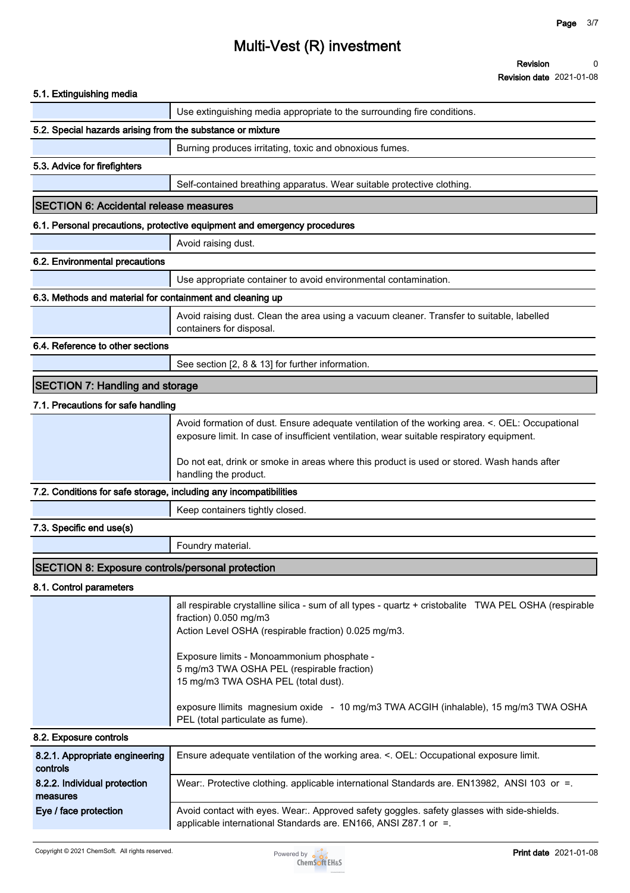**Revision Revision date 2021-01-08 0**

| 5.1. Extinguishing media                                          |                                                                                                                                                                                             |
|-------------------------------------------------------------------|---------------------------------------------------------------------------------------------------------------------------------------------------------------------------------------------|
|                                                                   | Use extinguishing media appropriate to the surrounding fire conditions.                                                                                                                     |
| 5.2. Special hazards arising from the substance or mixture        |                                                                                                                                                                                             |
|                                                                   | Burning produces irritating, toxic and obnoxious fumes.                                                                                                                                     |
| 5.3. Advice for firefighters                                      |                                                                                                                                                                                             |
|                                                                   | Self-contained breathing apparatus. Wear suitable protective clothing.                                                                                                                      |
| <b>SECTION 6: Accidental release measures</b>                     |                                                                                                                                                                                             |
|                                                                   | 6.1. Personal precautions, protective equipment and emergency procedures                                                                                                                    |
|                                                                   | Avoid raising dust.                                                                                                                                                                         |
| 6.2. Environmental precautions                                    |                                                                                                                                                                                             |
|                                                                   | Use appropriate container to avoid environmental contamination.                                                                                                                             |
| 6.3. Methods and material for containment and cleaning up         |                                                                                                                                                                                             |
|                                                                   | Avoid raising dust. Clean the area using a vacuum cleaner. Transfer to suitable, labelled<br>containers for disposal.                                                                       |
| 6.4. Reference to other sections                                  |                                                                                                                                                                                             |
|                                                                   | See section [2, 8 & 13] for further information.                                                                                                                                            |
| <b>SECTION 7: Handling and storage</b>                            |                                                                                                                                                                                             |
| 7.1. Precautions for safe handling                                |                                                                                                                                                                                             |
|                                                                   | Avoid formation of dust. Ensure adequate ventilation of the working area. <. OEL: Occupational<br>exposure limit. In case of insufficient ventilation, wear suitable respiratory equipment. |
|                                                                   | Do not eat, drink or smoke in areas where this product is used or stored. Wash hands after<br>handling the product.                                                                         |
| 7.2. Conditions for safe storage, including any incompatibilities |                                                                                                                                                                                             |
|                                                                   | Keep containers tightly closed.                                                                                                                                                             |
| 7.3. Specific end use(s)                                          |                                                                                                                                                                                             |
|                                                                   | Foundry material.                                                                                                                                                                           |
| <b>SECTION 8: Exposure controls/personal protection</b>           |                                                                                                                                                                                             |
| 8.1. Control parameters                                           |                                                                                                                                                                                             |
|                                                                   | all respirable crystalline silica - sum of all types - quartz + cristobalite TWA PEL OSHA (respirable<br>fraction) 0.050 mg/m3<br>Action Level OSHA (respirable fraction) 0.025 mg/m3.      |
|                                                                   | Exposure limits - Monoammonium phosphate -<br>5 mg/m3 TWA OSHA PEL (respirable fraction)<br>15 mg/m3 TWA OSHA PEL (total dust).                                                             |
|                                                                   | exposure llimits magnesium oxide - 10 mg/m3 TWA ACGIH (inhalable), 15 mg/m3 TWA OSHA<br>PEL (total particulate as fume).                                                                    |
| 8.2. Exposure controls                                            |                                                                                                                                                                                             |
| 8.2.1. Appropriate engineering<br>controls                        | Ensure adequate ventilation of the working area. <. OEL: Occupational exposure limit.                                                                                                       |
| 8.2.2. Individual protection<br>measures                          | Wear:. Protective clothing. applicable international Standards are. EN13982, ANSI 103 or =.                                                                                                 |
| Eye / face protection                                             | Avoid contact with eyes. Wear:. Approved safety goggles. safety glasses with side-shields.<br>applicable international Standards are. EN166, ANSI Z87.1 or =.                               |

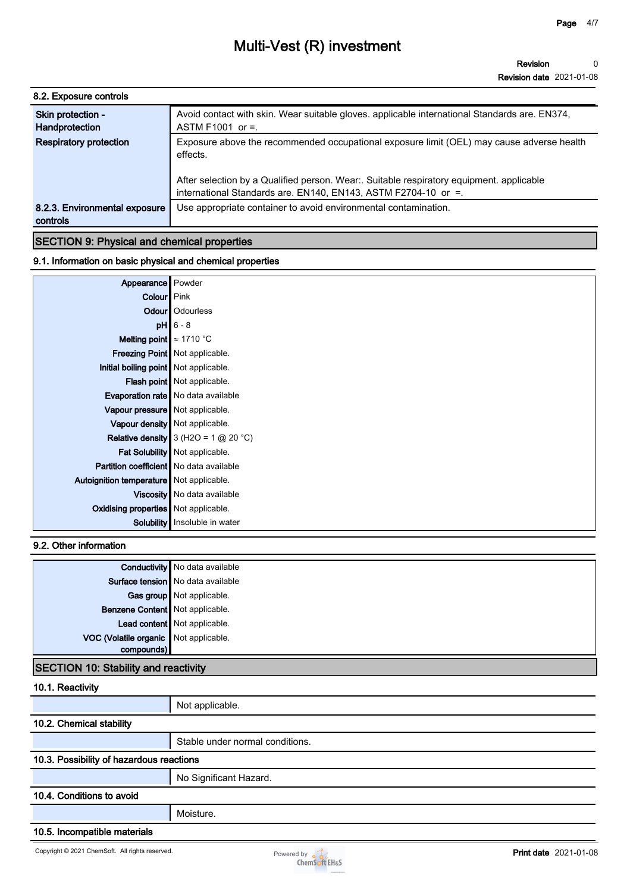| 8.2. Exposure controls                    |                                                                                                                                                                                                                                                                    |
|-------------------------------------------|--------------------------------------------------------------------------------------------------------------------------------------------------------------------------------------------------------------------------------------------------------------------|
| Skin protection -<br>Handprotection       | Avoid contact with skin. Wear suitable gloves. applicable international Standards are. EN374,<br>ASTM F1001 or $=$ .                                                                                                                                               |
| <b>Respiratory protection</b>             | Exposure above the recommended occupational exposure limit (OEL) may cause adverse health<br>effects.<br>After selection by a Qualified person. Wear: Suitable respiratory equipment. applicable<br>international Standards are. EN140, EN143, ASTM F2704-10 or =. |
| 8.2.3. Environmental exposure<br>controls | Use appropriate container to avoid environmental contamination.                                                                                                                                                                                                    |

#### **9.1. Information on basic physical and chemical properties**

| Appearance   Powder                            |                                               |
|------------------------------------------------|-----------------------------------------------|
| Colour Pink                                    |                                               |
|                                                | <b>Odour</b>   Odourless                      |
|                                                | $pH$ 6 - 8                                    |
| Melting point $\approx 1710$ °C                |                                               |
|                                                | Freezing Point   Not applicable.              |
| Initial boiling point   Not applicable.        |                                               |
|                                                | Flash point   Not applicable.                 |
|                                                | <b>Evaporation rate</b> No data available     |
| Vapour pressure   Not applicable.              |                                               |
|                                                | Vapour density   Not applicable.              |
|                                                | <b>Relative density</b> 3 (H2O = 1 $@$ 20 °C) |
|                                                | Fat Solubility   Not applicable.              |
| <b>Partition coefficient</b> No data available |                                               |
| Autoignition temperature Not applicable.       |                                               |
|                                                | Viscosity   No data available                 |
| Oxidising properties Not applicable.           |                                               |
|                                                | <b>Solubility</b> Insoluble in water          |

#### **9.2. Other information**

|                                       | <b>Conductivity</b> No data available |
|---------------------------------------|---------------------------------------|
|                                       | Surface tension   No data available   |
|                                       | Gas group Not applicable.             |
| Benzene Content Not applicable.       |                                       |
|                                       | Lead content Not applicable.          |
| VOC (Volatile organic Not applicable. |                                       |
|                                       |                                       |

### **SECTION 10: Stability and reactivity**

| 10.1. Reactivity                         |                                 |  |  |
|------------------------------------------|---------------------------------|--|--|
|                                          | Not applicable.                 |  |  |
| 10.2. Chemical stability                 |                                 |  |  |
|                                          | Stable under normal conditions. |  |  |
| 10.3. Possibility of hazardous reactions |                                 |  |  |
|                                          | No Significant Hazard.          |  |  |
| 10.4. Conditions to avoid                |                                 |  |  |
|                                          | Moisture.                       |  |  |
| 10.5. Incompatible materials             |                                 |  |  |

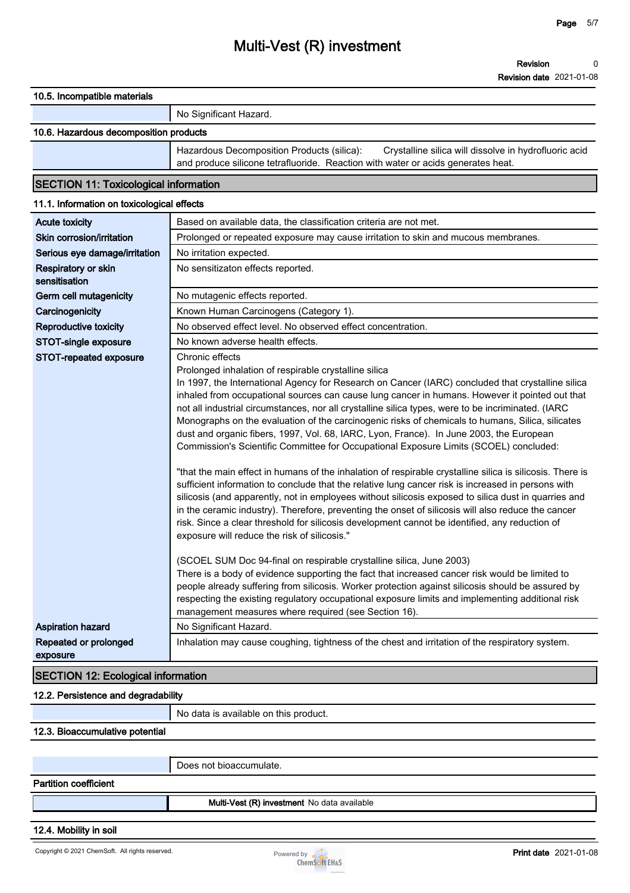**10.5. Incompatible materials**

#### **No Significant Hazard.**

#### **10.6. Hazardous decomposition products**

**Hazardous Decomposition Products (silica): Crystalline silica will dissolve in hydrofluoric acid and produce silicone tetrafluoride. Reaction with water or acids generates heat.**

### **SECTION 11: Toxicological information**

| 11.1. Information on toxicological effects |                                                                                                                                                                                                                                                                                                                                                                                                                                                                                                                                                                                                                                                                                                                                                                                                                                                                                                                                                                                                                                                                                                                                                                                                                                                                                                                                          |
|--------------------------------------------|------------------------------------------------------------------------------------------------------------------------------------------------------------------------------------------------------------------------------------------------------------------------------------------------------------------------------------------------------------------------------------------------------------------------------------------------------------------------------------------------------------------------------------------------------------------------------------------------------------------------------------------------------------------------------------------------------------------------------------------------------------------------------------------------------------------------------------------------------------------------------------------------------------------------------------------------------------------------------------------------------------------------------------------------------------------------------------------------------------------------------------------------------------------------------------------------------------------------------------------------------------------------------------------------------------------------------------------|
| <b>Acute toxicity</b>                      | Based on available data, the classification criteria are not met.                                                                                                                                                                                                                                                                                                                                                                                                                                                                                                                                                                                                                                                                                                                                                                                                                                                                                                                                                                                                                                                                                                                                                                                                                                                                        |
| Skin corrosion/irritation                  | Prolonged or repeated exposure may cause irritation to skin and mucous membranes.                                                                                                                                                                                                                                                                                                                                                                                                                                                                                                                                                                                                                                                                                                                                                                                                                                                                                                                                                                                                                                                                                                                                                                                                                                                        |
| Serious eye damage/irritation              | No irritation expected.                                                                                                                                                                                                                                                                                                                                                                                                                                                                                                                                                                                                                                                                                                                                                                                                                                                                                                                                                                                                                                                                                                                                                                                                                                                                                                                  |
| Respiratory or skin<br>sensitisation       | No sensitizaton effects reported.                                                                                                                                                                                                                                                                                                                                                                                                                                                                                                                                                                                                                                                                                                                                                                                                                                                                                                                                                                                                                                                                                                                                                                                                                                                                                                        |
| Germ cell mutagenicity                     | No mutagenic effects reported.                                                                                                                                                                                                                                                                                                                                                                                                                                                                                                                                                                                                                                                                                                                                                                                                                                                                                                                                                                                                                                                                                                                                                                                                                                                                                                           |
| Carcinogenicity                            | Known Human Carcinogens (Category 1).                                                                                                                                                                                                                                                                                                                                                                                                                                                                                                                                                                                                                                                                                                                                                                                                                                                                                                                                                                                                                                                                                                                                                                                                                                                                                                    |
| <b>Reproductive toxicity</b>               | No observed effect level. No observed effect concentration.                                                                                                                                                                                                                                                                                                                                                                                                                                                                                                                                                                                                                                                                                                                                                                                                                                                                                                                                                                                                                                                                                                                                                                                                                                                                              |
| STOT-single exposure                       | No known adverse health effects.                                                                                                                                                                                                                                                                                                                                                                                                                                                                                                                                                                                                                                                                                                                                                                                                                                                                                                                                                                                                                                                                                                                                                                                                                                                                                                         |
| STOT-repeated exposure                     | Chronic effects<br>Prolonged inhalation of respirable crystalline silica<br>In 1997, the International Agency for Research on Cancer (IARC) concluded that crystalline silica<br>inhaled from occupational sources can cause lung cancer in humans. However it pointed out that<br>not all industrial circumstances, nor all crystalline silica types, were to be incriminated. (IARC<br>Monographs on the evaluation of the carcinogenic risks of chemicals to humans, Silica, silicates<br>dust and organic fibers, 1997, Vol. 68, IARC, Lyon, France). In June 2003, the European<br>Commission's Scientific Committee for Occupational Exposure Limits (SCOEL) concluded:<br>"that the main effect in humans of the inhalation of respirable crystalline silica is silicosis. There is<br>sufficient information to conclude that the relative lung cancer risk is increased in persons with<br>silicosis (and apparently, not in employees without silicosis exposed to silica dust in quarries and<br>in the ceramic industry). Therefore, preventing the onset of silicosis will also reduce the cancer<br>risk. Since a clear threshold for silicosis development cannot be identified, any reduction of<br>exposure will reduce the risk of silicosis."<br>(SCOEL SUM Doc 94-final on respirable crystalline silica, June 2003) |
|                                            | There is a body of evidence supporting the fact that increased cancer risk would be limited to<br>people already suffering from silicosis. Worker protection against silicosis should be assured by<br>respecting the existing regulatory occupational exposure limits and implementing additional risk<br>management measures where required (see Section 16).                                                                                                                                                                                                                                                                                                                                                                                                                                                                                                                                                                                                                                                                                                                                                                                                                                                                                                                                                                          |
| <b>Aspiration hazard</b>                   | No Significant Hazard.                                                                                                                                                                                                                                                                                                                                                                                                                                                                                                                                                                                                                                                                                                                                                                                                                                                                                                                                                                                                                                                                                                                                                                                                                                                                                                                   |
| Repeated or prolonged<br>exposure          | Inhalation may cause coughing, tightness of the chest and irritation of the respiratory system.                                                                                                                                                                                                                                                                                                                                                                                                                                                                                                                                                                                                                                                                                                                                                                                                                                                                                                                                                                                                                                                                                                                                                                                                                                          |
| <b>SECTION 12: Ecological information</b>  |                                                                                                                                                                                                                                                                                                                                                                                                                                                                                                                                                                                                                                                                                                                                                                                                                                                                                                                                                                                                                                                                                                                                                                                                                                                                                                                                          |
|                                            |                                                                                                                                                                                                                                                                                                                                                                                                                                                                                                                                                                                                                                                                                                                                                                                                                                                                                                                                                                                                                                                                                                                                                                                                                                                                                                                                          |

#### **12.2. Persistence and degradability**

**No data is available on this product.**

#### **12.3. Bioaccumulative potential**

**Does not bioaccumulate.**

#### **Partition coefficient**

**Multi-Vest (R) investment No data available**

#### **12.4. Mobility in soil**

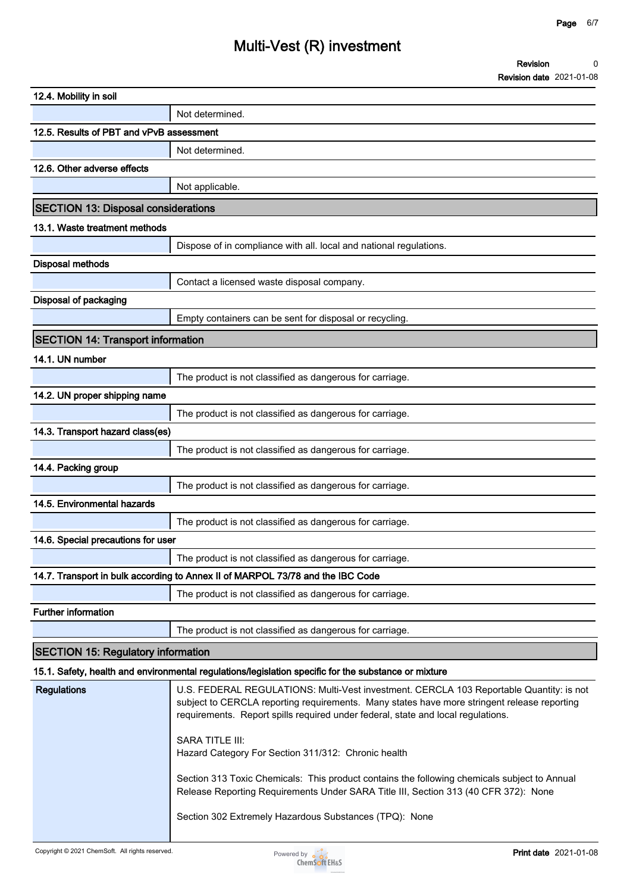|                                            | ר סיוטוטוו שפוס בטבו־טו־טכ                                                                                                                                                                                                                                                 |
|--------------------------------------------|----------------------------------------------------------------------------------------------------------------------------------------------------------------------------------------------------------------------------------------------------------------------------|
| 12.4. Mobility in soil                     |                                                                                                                                                                                                                                                                            |
|                                            | Not determined.                                                                                                                                                                                                                                                            |
| 12.5. Results of PBT and vPvB assessment   |                                                                                                                                                                                                                                                                            |
|                                            | Not determined.                                                                                                                                                                                                                                                            |
| 12.6. Other adverse effects                |                                                                                                                                                                                                                                                                            |
|                                            | Not applicable.                                                                                                                                                                                                                                                            |
| <b>SECTION 13: Disposal considerations</b> |                                                                                                                                                                                                                                                                            |
| 13.1. Waste treatment methods              |                                                                                                                                                                                                                                                                            |
|                                            | Dispose of in compliance with all. local and national regulations.                                                                                                                                                                                                         |
| <b>Disposal methods</b>                    |                                                                                                                                                                                                                                                                            |
|                                            | Contact a licensed waste disposal company.                                                                                                                                                                                                                                 |
| Disposal of packaging                      |                                                                                                                                                                                                                                                                            |
|                                            | Empty containers can be sent for disposal or recycling.                                                                                                                                                                                                                    |
| <b>SECTION 14: Transport information</b>   |                                                                                                                                                                                                                                                                            |
|                                            |                                                                                                                                                                                                                                                                            |
| 14.1. UN number                            |                                                                                                                                                                                                                                                                            |
|                                            | The product is not classified as dangerous for carriage.                                                                                                                                                                                                                   |
| 14.2. UN proper shipping name              |                                                                                                                                                                                                                                                                            |
|                                            | The product is not classified as dangerous for carriage.                                                                                                                                                                                                                   |
| 14.3. Transport hazard class(es)           |                                                                                                                                                                                                                                                                            |
|                                            | The product is not classified as dangerous for carriage.                                                                                                                                                                                                                   |
| 14.4. Packing group                        |                                                                                                                                                                                                                                                                            |
|                                            | The product is not classified as dangerous for carriage.                                                                                                                                                                                                                   |
| 14.5. Environmental hazards                |                                                                                                                                                                                                                                                                            |
|                                            | The product is not classified as dangerous for carriage.                                                                                                                                                                                                                   |
| 14.6. Special precautions for user         |                                                                                                                                                                                                                                                                            |
|                                            | The product is not classified as dangerous for carriage.                                                                                                                                                                                                                   |
|                                            | 14.7. Transport in bulk according to Annex II of MARPOL 73/78 and the IBC Code                                                                                                                                                                                             |
|                                            | The product is not classified as dangerous for carriage.                                                                                                                                                                                                                   |
| <b>Further information</b>                 |                                                                                                                                                                                                                                                                            |
|                                            | The product is not classified as dangerous for carriage.                                                                                                                                                                                                                   |
| <b>SECTION 15: Regulatory information</b>  |                                                                                                                                                                                                                                                                            |
|                                            | 15.1. Safety, health and environmental regulations/legislation specific for the substance or mixture                                                                                                                                                                       |
| <b>Regulations</b>                         | U.S. FEDERAL REGULATIONS: Multi-Vest investment. CERCLA 103 Reportable Quantity: is not<br>subject to CERCLA reporting requirements. Many states have more stringent release reporting<br>requirements. Report spills required under federal, state and local regulations. |
|                                            | <b>SARA TITLE III:</b><br>Hazard Category For Section 311/312: Chronic health                                                                                                                                                                                              |
|                                            | Section 313 Toxic Chemicals: This product contains the following chemicals subject to Annual<br>Release Reporting Requirements Under SARA Title III, Section 313 (40 CFR 372): None                                                                                        |
|                                            | Section 302 Extremely Hazardous Substances (TPQ): None                                                                                                                                                                                                                     |